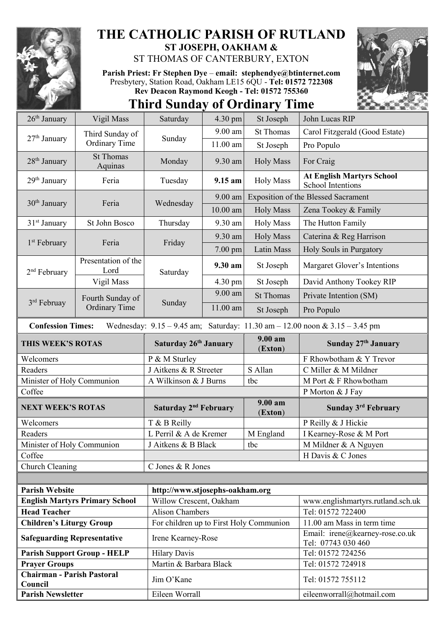

## **THE CATHOLIC PARISH OF RUTLAND ST JOSEPH, OAKHAM &**

ST THOMAS OF CANTERBURY, EXTON

**Parish Priest: Fr Stephen Dye** – **[email: stephendye@btinternet.com](mailto:email:%20%20stephendye@btinternet.com)** Presbytery, Station Road, Oakham LE15 6QU - **Tel: 01572 722308 Rev Deacon Raymond Keogh - Tel: 01572 755360**

**Third Sunday of Ordinary Time**



| $26th$ January                                                                                                  | Vigil Mass                               | Saturday                                | 4.30 pm    | St Joseph          | John Lucas RIP                                        |  |  |  |
|-----------------------------------------------------------------------------------------------------------------|------------------------------------------|-----------------------------------------|------------|--------------------|-------------------------------------------------------|--|--|--|
| 27 <sup>th</sup> January                                                                                        | Third Sunday of<br><b>Ordinary Time</b>  | Sunday                                  | $9.00$ am  | <b>St Thomas</b>   | Carol Fitzgerald (Good Estate)                        |  |  |  |
|                                                                                                                 |                                          |                                         | 11.00 am   | St Joseph          | Pro Populo                                            |  |  |  |
| 28 <sup>th</sup> January                                                                                        | <b>St Thomas</b><br>Aquinas              | Monday                                  | 9.30 am    | <b>Holy Mass</b>   | For Craig                                             |  |  |  |
| 29 <sup>th</sup> January                                                                                        | Feria                                    | Tuesday                                 | 9.15 am    | <b>Holy Mass</b>   | <b>At English Martyrs School</b><br>School Intentions |  |  |  |
| 30 <sup>th</sup> January                                                                                        | Feria                                    | Wednesday                               | 9.00 am    |                    | <b>Exposition of the Blessed Sacrament</b>            |  |  |  |
|                                                                                                                 |                                          |                                         | $10.00$ am | <b>Holy Mass</b>   | Zena Tookey & Family                                  |  |  |  |
| 31 <sup>st</sup> January                                                                                        | St John Bosco                            | Thursday                                | 9.30 am    | <b>Holy Mass</b>   | The Hutton Family                                     |  |  |  |
| 1 <sup>st</sup> February                                                                                        | Feria                                    | Friday                                  | 9.30 am    | <b>Holy Mass</b>   | Caterina & Reg Harrison                               |  |  |  |
|                                                                                                                 |                                          |                                         | 7.00 pm    | Latin Mass         | Holy Souls in Purgatory                               |  |  |  |
| 2 <sup>nd</sup> February                                                                                        | Presentation of the<br>Lord              | Saturday                                | 9.30 am    | St Joseph          | Margaret Glover's Intentions                          |  |  |  |
|                                                                                                                 | Vigil Mass                               |                                         | 4.30 pm    | St Joseph          | David Anthony Tookey RIP                              |  |  |  |
| 3rd Februay                                                                                                     | Fourth Sunday of<br><b>Ordinary Time</b> | Sunday                                  | 9.00 am    | <b>St Thomas</b>   | Private Intention (SM)                                |  |  |  |
|                                                                                                                 |                                          |                                         | 11.00 am   | St Joseph          | Pro Populo                                            |  |  |  |
| Wednesday: $9.15 - 9.45$ am; Saturday: $11.30$ am $- 12.00$ noon & $3.15 - 3.45$ pm<br><b>Confession Times:</b> |                                          |                                         |            |                    |                                                       |  |  |  |
| THIS WEEK'S ROTAS                                                                                               |                                          | Saturday 26th January                   |            | 9.00 am<br>(Exton) | Sunday 27th January                                   |  |  |  |
| Welcomers                                                                                                       |                                          | P & M Sturley                           |            |                    | F Rhowbotham & Y Trevor                               |  |  |  |
|                                                                                                                 |                                          |                                         |            |                    |                                                       |  |  |  |
| Readers                                                                                                         |                                          | J Aitkens & R Streeter                  |            | S Allan            | C Miller & M Mildner                                  |  |  |  |
| Minister of Holy Communion                                                                                      |                                          | A Wilkinson & J Burns                   |            | tbc                | M Port & F Rhowbotham                                 |  |  |  |
| Coffee                                                                                                          |                                          |                                         |            |                    | P Morton & J Fay                                      |  |  |  |
| <b>NEXT WEEK'S ROTAS</b>                                                                                        |                                          | Saturday 2 <sup>nd</sup> February       |            | 9.00 am<br>(Exton) | Sunday 3rd February                                   |  |  |  |
| Welcomers                                                                                                       |                                          | T & B Reilly                            |            |                    | P Reilly & J Hickie                                   |  |  |  |
| Readers                                                                                                         |                                          | L Perril & A de Kremer                  |            | M England          | I Kearney-Rose & M Port                               |  |  |  |
| Minister of Holy Communion                                                                                      |                                          | J Aitkens & B Black                     |            | tbc                | M Mildner & A Nguyen                                  |  |  |  |
| Coffee                                                                                                          |                                          |                                         |            |                    | H Davis & C Jones                                     |  |  |  |
| Church Cleaning                                                                                                 |                                          | C Jones & R Jones                       |            |                    |                                                       |  |  |  |
|                                                                                                                 |                                          |                                         |            |                    |                                                       |  |  |  |
| <b>Parish Website</b>                                                                                           |                                          | http://www.stjosephs-oakham.org         |            |                    |                                                       |  |  |  |
|                                                                                                                 | <b>English Martyrs Primary School</b>    | Willow Crescent, Oakham                 |            |                    | www.englishmartyrs.rutland.sch.uk                     |  |  |  |
| <b>Head Teacher</b>                                                                                             |                                          | <b>Alison Chambers</b>                  |            |                    | Tel: 01572 722400                                     |  |  |  |
| <b>Children's Liturgy Group</b>                                                                                 |                                          | For children up to First Holy Communion |            |                    | 11.00 am Mass in term time                            |  |  |  |
| <b>Safeguarding Representative</b>                                                                              |                                          | Irene Kearney-Rose                      |            |                    | Email: irene@kearney-rose.co.uk<br>Tel: 07743 030 460 |  |  |  |
|                                                                                                                 | <b>Parish Support Group - HELP</b>       | <b>Hilary Davis</b>                     |            |                    | Tel: 01572 724256                                     |  |  |  |
| <b>Prayer Groups</b>                                                                                            |                                          | Martin & Barbara Black                  |            |                    | Tel: 01572 724918                                     |  |  |  |
| <b>Chairman - Parish Pastoral</b><br>Council                                                                    |                                          | Jim O'Kane                              |            |                    | Tel: 01572 755112                                     |  |  |  |